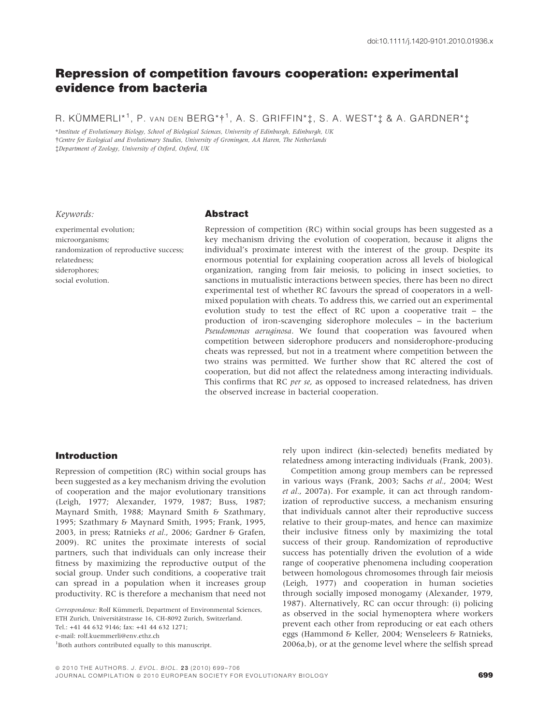# Repression of competition favours cooperation: experimental evidence from bacteria

R. KÜMMERLI\*<sup>1</sup>, P. van den BERG\*†<sup>1</sup>, A. S. GRIFFIN\*‡, S. A. WEST\*‡ & A. GARDNER\*‡

\*Institute of Evolutionary Biology, School of Biological Sciences, University of Edinburgh, Edinburgh, UK -Centre for Ecological and Evolutionary Studies, University of Groningen, AA Haren, The Netherlands Department of Zoology, University of Oxford, Oxford, UK

#### Keywords:

experimental evolution; microorganisms; randomization of reproductive success; relatedness; siderophores; social evolution.

## Abstract

Repression of competition (RC) within social groups has been suggested as a key mechanism driving the evolution of cooperation, because it aligns the individual's proximate interest with the interest of the group. Despite its enormous potential for explaining cooperation across all levels of biological organization, ranging from fair meiosis, to policing in insect societies, to sanctions in mutualistic interactions between species, there has been no direct experimental test of whether RC favours the spread of cooperators in a wellmixed population with cheats. To address this, we carried out an experimental evolution study to test the effect of RC upon a cooperative trait – the production of iron-scavenging siderophore molecules – in the bacterium Pseudomonas aeruginosa. We found that cooperation was favoured when competition between siderophore producers and nonsiderophore-producing cheats was repressed, but not in a treatment where competition between the two strains was permitted. We further show that RC altered the cost of cooperation, but did not affect the relatedness among interacting individuals. This confirms that RC per se, as opposed to increased relatedness, has driven the observed increase in bacterial cooperation.

## Introduction

Repression of competition (RC) within social groups has been suggested as a key mechanism driving the evolution of cooperation and the major evolutionary transitions (Leigh, 1977; Alexander, 1979, 1987; Buss, 1987; Maynard Smith, 1988; Maynard Smith & Szathmary, 1995; Szathmary & Maynard Smith, 1995; Frank, 1995, 2003, in press; Ratnieks et al., 2006; Gardner & Grafen, 2009). RC unites the proximate interests of social partners, such that individuals can only increase their fitness by maximizing the reproductive output of the social group. Under such conditions, a cooperative trait can spread in a population when it increases group productivity. RC is therefore a mechanism that need not

Tel.: +41 44 632 9146; fax: +41 44 632 1271;

rely upon indirect (kin-selected) benefits mediated by relatedness among interacting individuals (Frank, 2003).

Competition among group members can be repressed in various ways (Frank, 2003; Sachs et al., 2004; West et al., 2007a). For example, it can act through randomization of reproductive success, a mechanism ensuring that individuals cannot alter their reproductive success relative to their group-mates, and hence can maximize their inclusive fitness only by maximizing the total success of their group. Randomization of reproductive success has potentially driven the evolution of a wide range of cooperative phenomena including cooperation between homologous chromosomes through fair meiosis (Leigh, 1977) and cooperation in human societies through socially imposed monogamy (Alexander, 1979, 1987). Alternatively, RC can occur through: (i) policing as observed in the social hymenoptera where workers prevent each other from reproducing or eat each others eggs (Hammond & Keller, 2004; Wenseleers & Ratnieks, 2006a,b), or at the genome level where the selfish spread

Correspondence: Rolf Kümmerli, Department of Environmental Sciences, ETH Zurich, Universitätstrasse 16, CH-8092 Zurich, Switzerland.

e-mail: rolf.kuemmerli@env.ethz.ch

<sup>1</sup> Both authors contributed equally to this manuscript.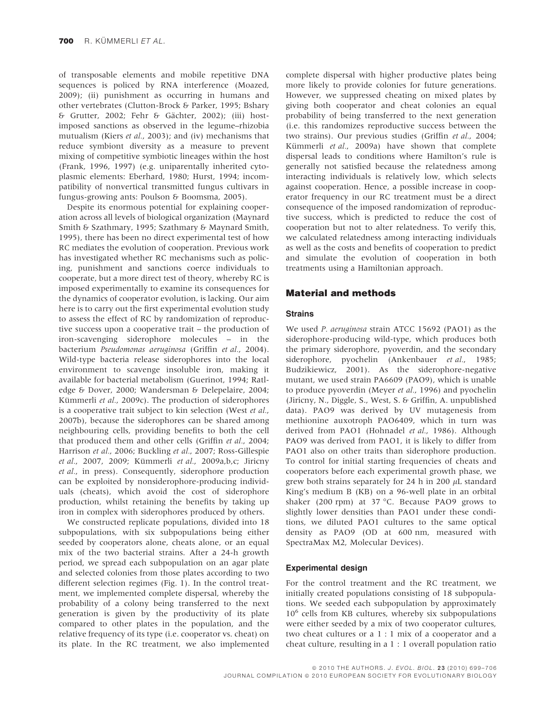of transposable elements and mobile repetitive DNA sequences is policed by RNA interference (Moazed, 2009); (ii) punishment as occurring in humans and other vertebrates (Clutton-Brock & Parker, 1995; Bshary & Grutter, 2002; Fehr & Gächter, 2002); (iii) hostimposed sanctions as observed in the legume–rhizobia mutualism (Kiers et al., 2003); and (iv) mechanisms that reduce symbiont diversity as a measure to prevent mixing of competitive symbiotic lineages within the host (Frank, 1996, 1997) (e.g. uniparentally inherited cytoplasmic elements: Eberhard, 1980; Hurst, 1994; incompatibility of nonvertical transmitted fungus cultivars in fungus-growing ants: Poulson & Boomsma, 2005).

Despite its enormous potential for explaining cooperation across all levels of biological organization (Maynard Smith & Szathmary, 1995; Szathmary & Maynard Smith, 1995), there has been no direct experimental test of how RC mediates the evolution of cooperation. Previous work has investigated whether RC mechanisms such as policing, punishment and sanctions coerce individuals to cooperate, but a more direct test of theory, whereby RC is imposed experimentally to examine its consequences for the dynamics of cooperator evolution, is lacking. Our aim here is to carry out the first experimental evolution study to assess the effect of RC by randomization of reproductive success upon a cooperative trait – the production of iron-scavenging siderophore molecules – in the bacterium Pseudomonas aeruginosa (Griffin et al., 2004). Wild-type bacteria release siderophores into the local environment to scavenge insoluble iron, making it available for bacterial metabolism (Guerinot, 1994; Ratledge & Dover, 2000; Wandersman & Delepelaire, 2004; Kümmerli et al., 2009c). The production of siderophores is a cooperative trait subject to kin selection (West et al., 2007b), because the siderophores can be shared among neighbouring cells, providing benefits to both the cell that produced them and other cells (Griffin et al., 2004; Harrison et al., 2006; Buckling et al., 2007; Ross-Gillespie et al., 2007, 2009; Kümmerli et al., 2009a,b,c; Jiricny et al., in press). Consequently, siderophore production can be exploited by nonsiderophore-producing individuals (cheats), which avoid the cost of siderophore production, whilst retaining the benefits by taking up iron in complex with siderophores produced by others.

We constructed replicate populations, divided into 18 subpopulations, with six subpopulations being either seeded by cooperators alone, cheats alone, or an equal mix of the two bacterial strains. After a 24-h growth period, we spread each subpopulation on an agar plate and selected colonies from those plates according to two different selection regimes (Fig. 1). In the control treatment, we implemented complete dispersal, whereby the probability of a colony being transferred to the next generation is given by the productivity of its plate compared to other plates in the population, and the relative frequency of its type (i.e. cooperator vs. cheat) on its plate. In the RC treatment, we also implemented complete dispersal with higher productive plates being more likely to provide colonies for future generations. However, we suppressed cheating on mixed plates by giving both cooperator and cheat colonies an equal probability of being transferred to the next generation (i.e. this randomizes reproductive success between the two strains). Our previous studies (Griffin et al., 2004; Kümmerli et al., 2009a) have shown that complete dispersal leads to conditions where Hamilton's rule is generally not satisfied because the relatedness among interacting individuals is relatively low, which selects against cooperation. Hence, a possible increase in cooperator frequency in our RC treatment must be a direct consequence of the imposed randomization of reproductive success, which is predicted to reduce the cost of cooperation but not to alter relatedness. To verify this, we calculated relatedness among interacting individuals as well as the costs and benefits of cooperation to predict and simulate the evolution of cooperation in both treatments using a Hamiltonian approach.

## Material and methods

### **Strains**

We used P. aeruginosa strain ATCC 15692 (PAO1) as the siderophore-producing wild-type, which produces both the primary siderophore, pyoverdin, and the secondary siderophore, pyochelin (Ankenbauer et al., 1985; Budzikiewicz, 2001). As the siderophore-negative mutant, we used strain PA6609 (PAO9), which is unable to produce pyoverdin (Meyer et al., 1996) and pyochelin (Jiricny, N., Diggle, S., West, S. & Griffin, A. unpublished data). PAO9 was derived by UV mutagenesis from methionine auxotroph PAO6409, which in turn was derived from PAO1 (Hohnadel et al., 1986). Although PAO9 was derived from PAO1, it is likely to differ from PAO1 also on other traits than siderophore production. To control for initial starting frequencies of cheats and cooperators before each experimental growth phase, we grew both strains separately for 24 h in 200  $\mu$ L standard King's medium B (KB) on a 96-well plate in an orbital shaker (200 rpm) at 37 °C. Because PAO9 grows to slightly lower densities than PAO1 under these conditions, we diluted PAO1 cultures to the same optical density as PAO9 (OD at 600 nm, measured with SpectraMax M2, Molecular Devices).

#### Experimental design

For the control treatment and the RC treatment, we initially created populations consisting of 18 subpopulations. We seeded each subpopulation by approximately 10<sup>6</sup> cells from KB cultures, whereby six subpopulations were either seeded by a mix of two cooperator cultures, two cheat cultures or a 1 : 1 mix of a cooperator and a cheat culture, resulting in a 1 : 1 overall population ratio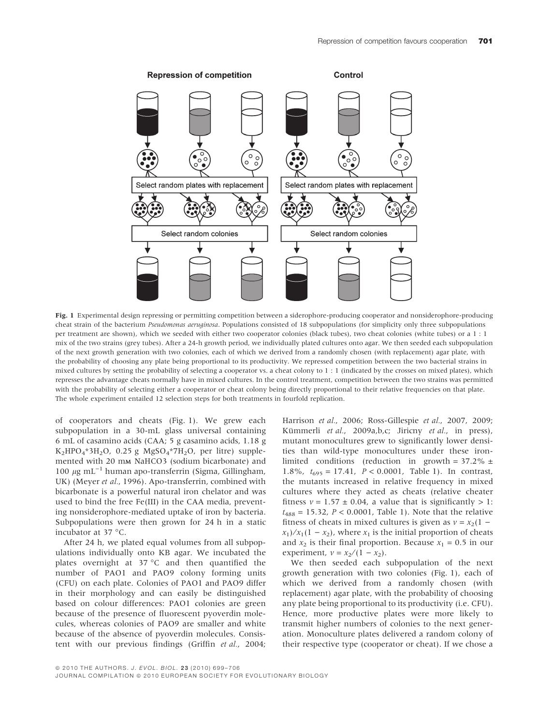

Fig. 1 Experimental design repressing or permitting competition between a siderophore-producing cooperator and nonsiderophore-producing cheat strain of the bacterium Pseudomonas aeruginosa. Populations consisted of 18 subpopulations (for simplicity only three subpopulations per treatment are shown), which we seeded with either two cooperator colonies (black tubes), two cheat colonies (white tubes) or a 1 : 1 mix of the two strains (grey tubes). After a 24-h growth period, we individually plated cultures onto agar. We then seeded each subpopulation of the next growth generation with two colonies, each of which we derived from a randomly chosen (with replacement) agar plate, with the probability of choosing any plate being proportional to its productivity. We repressed competition between the two bacterial strains in mixed cultures by setting the probability of selecting a cooperator vs. a cheat colony to 1 : 1 (indicated by the crosses on mixed plates), which represses the advantage cheats normally have in mixed cultures. In the control treatment, competition between the two strains was permitted with the probability of selecting either a cooperator or cheat colony being directly proportional to their relative frequencies on that plate. The whole experiment entailed 12 selection steps for both treatments in fourfold replication.

of cooperators and cheats (Fig. 1). We grew each subpopulation in a 30-mL glass universal containing 6 mL of casamino acids (CAA; 5 g casamino acids, 1.18 g  $K_2HPO_4*3H_2O$ , 0.25 g  $MgSO_4*7H_2O$ , per litre) supplemented with 20 mm NaHCO3 (sodium bicarbonate) and 100  $\mu$ g mL<sup>-1</sup> human apo-transferrin (Sigma, Gillingham, UK) (Meyer et al., 1996). Apo-transferrin, combined with bicarbonate is a powerful natural iron chelator and was used to bind the free Fe(III) in the CAA media, preventing nonsiderophore-mediated uptake of iron by bacteria. Subpopulations were then grown for 24 h in a static incubator at 37 °C.

After 24 h, we plated equal volumes from all subpopulations individually onto KB agar. We incubated the plates overnight at 37  $^{\circ}$ C and then quantified the number of PAO1 and PAO9 colony forming units (CFU) on each plate. Colonies of PAO1 and PAO9 differ in their morphology and can easily be distinguished based on colour differences: PAO1 colonies are green because of the presence of fluorescent pyoverdin molecules, whereas colonies of PAO9 are smaller and white because of the absence of pyoverdin molecules. Consistent with our previous findings (Griffin et al., 2004;

Harrison et al., 2006; Ross-Gillespie et al., 2007, 2009; Kümmerli et al., 2009a,b,c; Jiricny et al., in press), mutant monocultures grew to significantly lower densities than wild-type monocultures under these ironlimited conditions (reduction in growth =  $37.2\%$  ± 1.8%,  $t_{695} = 17.41$ ,  $P < 0.0001$ , Table 1). In contrast, the mutants increased in relative frequency in mixed cultures where they acted as cheats (relative cheater fitness  $v = 1.57 \pm 0.04$ , a value that is significantly > 1:  $t_{488} = 15.32, P < 0.0001,$  Table 1). Note that the relative fitness of cheats in mixed cultures is given as  $v = x_2(1$  $x_1$ / $x_1$ (1 –  $x_2$ ), where  $x_1$  is the initial proportion of cheats and  $x_2$  is their final proportion. Because  $x_1 = 0.5$  in our experiment,  $v = x_2/(1 - x_2)$ .

We then seeded each subpopulation of the next growth generation with two colonies (Fig. 1), each of which we derived from a randomly chosen (with replacement) agar plate, with the probability of choosing any plate being proportional to its productivity (i.e. CFU). Hence, more productive plates were more likely to transmit higher numbers of colonies to the next generation. Monoculture plates delivered a random colony of their respective type (cooperator or cheat). If we chose a

JOURNAL COMPILATION © 2010 EUROPEAN SOCIETY FOR EVOLUTIONARY BIOLOGY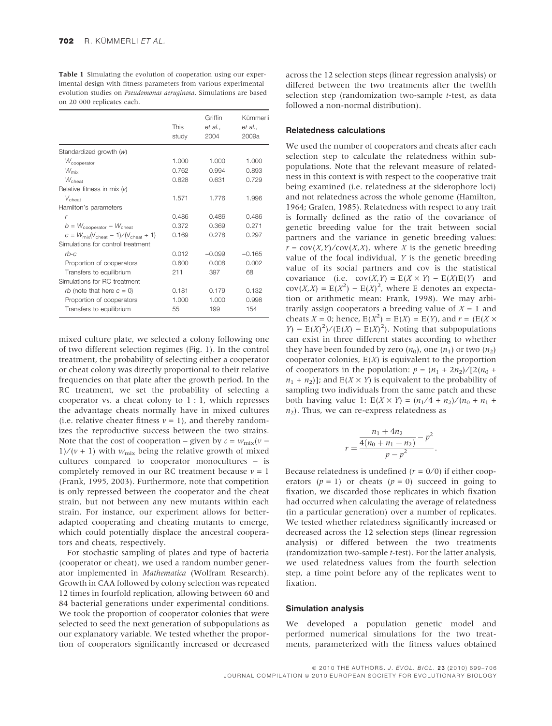Table 1 Simulating the evolution of cooperation using our experimental design with fitness parameters from various experimental evolution studies on Pseudomonas aeruginosa. Simulations are based on 20 000 replicates each.

|                                                                     | <b>This</b><br>study | Griffin<br>et al.,<br>2004 | Kümmerli<br>et al.,<br>2009a |
|---------------------------------------------------------------------|----------------------|----------------------------|------------------------------|
| Standardized growth $(w)$                                           |                      |                            |                              |
| $W_{\text{cooperator}}$                                             | 1.000                | 1.000                      | 1.000                        |
| $W_{\rm mix}$                                                       | 0.762                | 0.994                      | 0.893                        |
| $W_{\text{cheat}}$                                                  | 0.628                | 0.631                      | 0.729                        |
| Relative fitness in mix $(v)$                                       |                      |                            |                              |
| $V_{\text{cheat}}$                                                  | 1.571                | 1.776                      | 1.996                        |
| Hamilton's parameters                                               |                      |                            |                              |
| $\mathsf{r}$                                                        | 0.486                | 0.486                      | 0.486                        |
| $b = W_{\text{conerator}} - W_{\text{cheat}}$                       | 0.372                | 0.369                      | 0.271                        |
| $C = W_{\text{mix}}(V_{\text{cheat}} - 1) / (V_{\text{cheat}} + 1)$ | 0.169                | 0.278                      | 0.297                        |
| Simulations for control treatment                                   |                      |                            |                              |
| $rb-c$                                                              | 0.012                | $-0.099$                   | $-0.165$                     |
| Proportion of cooperators                                           | 0.600                | 0.008                      | 0.002                        |
| Transfers to equilibrium                                            | 211                  | 397                        | 68                           |
| Simulations for RC treatment                                        |                      |                            |                              |
| <i>rb</i> (note that here $c = 0$ )                                 | 0.181                | 0.179                      | 0.132                        |
| Proportion of cooperators                                           | 1.000                | 1.000                      | 0.998                        |
| Transfers to equilibrium                                            | 55                   | 199                        | 154                          |
|                                                                     |                      |                            |                              |

mixed culture plate, we selected a colony following one of two different selection regimes (Fig. 1). In the control treatment, the probability of selecting either a cooperator or cheat colony was directly proportional to their relative frequencies on that plate after the growth period. In the RC treatment, we set the probability of selecting a cooperator vs. a cheat colony to 1 : 1, which represses the advantage cheats normally have in mixed cultures (i.e. relative cheater fitness  $v = 1$ ), and thereby randomizes the reproductive success between the two strains. Note that the cost of cooperation – given by  $c = w_{\text{mix}}(v 1/(v + 1)$  with  $w_{\text{mix}}$  being the relative growth of mixed cultures compared to cooperator monocultures – is completely removed in our RC treatment because  $v = 1$ (Frank, 1995, 2003). Furthermore, note that competition is only repressed between the cooperator and the cheat strain, but not between any new mutants within each strain. For instance, our experiment allows for betteradapted cooperating and cheating mutants to emerge, which could potentially displace the ancestral cooperators and cheats, respectively.

For stochastic sampling of plates and type of bacteria (cooperator or cheat), we used a random number generator implemented in Mathematica (Wolfram Research). Growth in CAA followed by colony selection was repeated 12 times in fourfold replication, allowing between 60 and 84 bacterial generations under experimental conditions. We took the proportion of cooperator colonies that were selected to seed the next generation of subpopulations as our explanatory variable. We tested whether the proportion of cooperators significantly increased or decreased across the 12 selection steps (linear regression analysis) or differed between the two treatments after the twelfth selection step (randomization two-sample t-test, as data followed a non-normal distribution).

#### Relatedness calculations

We used the number of cooperators and cheats after each selection step to calculate the relatedness within subpopulations. Note that the relevant measure of relatedness in this context is with respect to the cooperative trait being examined (i.e. relatedness at the siderophore loci) and not relatedness across the whole genome (Hamilton, 1964; Grafen, 1985). Relatedness with respect to any trait is formally defined as the ratio of the covariance of genetic breeding value for the trait between social partners and the variance in genetic breeding values:  $r = \text{cov}(X, Y) / \text{cov}(X, X)$ , where X is the genetic breeding value of the focal individual, Y is the genetic breeding value of its social partners and cov is the statistical covariance (i.e.  $cov(X, Y) = E(X \times Y) - E(X)E(Y)$  and  $cov(X, X) = E(X^2) - E(X)^2$ , where E denotes an expectation or arithmetic mean: Frank, 1998). We may arbitrarily assign cooperators a breeding value of  $X = 1$  and cheats  $X = 0$ ; hence,  $E(X^2) = E(X) = E(Y)$ , and  $r = (E(X \times$  $Y$ ) – E(X)<sup>2</sup>)/(E(X) – E(X)<sup>2</sup>). Noting that subpopulations can exist in three different states according to whether they have been founded by zero  $(n_0)$ , one  $(n_1)$  or two  $(n_2)$ cooperator colonies,  $E(X)$  is equivalent to the proportion of cooperators in the population:  $p = (n_1 + 2n_2)/[2(n_0 +$  $n_1 + n_2$ ]; and  $E(X \times Y)$  is equivalent to the probability of sampling two individuals from the same patch and these both having value 1:  $E(X \times Y) = (n_1 / 4 + n_2) / (n_0 + n_1 +$  $n_2$ ). Thus, we can re-express relatedness as

$$
r = \frac{\frac{n_1 + 4n_2}{4(n_0 + n_1 + n_2)} - p^2}{p - p^2}.
$$

Because relatedness is undefined  $(r = 0/0)$  if either cooperators  $(p = 1)$  or cheats  $(p = 0)$  succeed in going to fixation, we discarded those replicates in which fixation had occurred when calculating the average of relatedness (in a particular generation) over a number of replicates. We tested whether relatedness significantly increased or decreased across the 12 selection steps (linear regression analysis) or differed between the two treatments (randomization two-sample t-test). For the latter analysis, we used relatedness values from the fourth selection step, a time point before any of the replicates went to fixation.

#### Simulation analysis

We developed a population genetic model and performed numerical simulations for the two treatments, parameterized with the fitness values obtained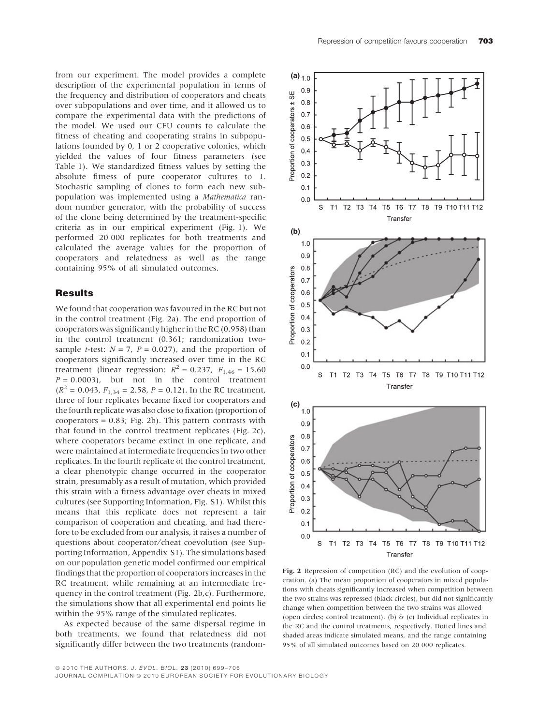from our experiment. The model provides a complete description of the experimental population in terms of the frequency and distribution of cooperators and cheats over subpopulations and over time, and it allowed us to compare the experimental data with the predictions of the model. We used our CFU counts to calculate the fitness of cheating and cooperating strains in subpopulations founded by 0, 1 or 2 cooperative colonies, which yielded the values of four fitness parameters (see Table 1). We standardized fitness values by setting the absolute fitness of pure cooperator cultures to 1. Stochastic sampling of clones to form each new subpopulation was implemented using a Mathematica random number generator, with the probability of success of the clone being determined by the treatment-specific criteria as in our empirical experiment (Fig. 1). We performed 20 000 replicates for both treatments and calculated the average values for the proportion of cooperators and relatedness as well as the range containing 95% of all simulated outcomes.

## Results

We found that cooperation was favoured in the RC but not in the control treatment (Fig. 2a). The end proportion of cooperators was significantly higher in the RC (0.958) than in the control treatment (0.361; randomization twosample *t*-test:  $N = 7$ ,  $P = 0.027$ , and the proportion of cooperators significantly increased over time in the RC treatment (linear regression:  $R^2 = 0.237$ ,  $F_{1,46} = 15.60$  $P = 0.0003$ , but not in the control treatment  $(R^2 = 0.043, F_{1,34} = 2.58, P = 0.12)$ . In the RC treatment, three of four replicates became fixed for cooperators and the fourth replicate was also close to fixation (proportion of  $cooperators = 0.83$ ; Fig. 2b). This pattern contrasts with that found in the control treatment replicates (Fig. 2c), where cooperators became extinct in one replicate, and were maintained at intermediate frequencies in two other replicates. In the fourth replicate of the control treatment, a clear phenotypic change occurred in the cooperator strain, presumably as a result of mutation, which provided this strain with a fitness advantage over cheats in mixed cultures (see Supporting Information, Fig. S1). Whilst this means that this replicate does not represent a fair comparison of cooperation and cheating, and had therefore to be excluded from our analysis, it raises a number of questions about cooperator⁄ cheat coevolution (see Supporting Information, Appendix S1). The simulations based on our population genetic model confirmed our empirical findings that the proportion of cooperators increases in the RC treatment, while remaining at an intermediate frequency in the control treatment (Fig. 2b,c). Furthermore, the simulations show that all experimental end points lie within the 95% range of the simulated replicates.

As expected because of the same dispersal regime in both treatments, we found that relatedness did not significantly differ between the two treatments (random-



Fig. 2 Repression of competition (RC) and the evolution of cooperation. (a) The mean proportion of cooperators in mixed populations with cheats significantly increased when competition between the two strains was repressed (black circles), but did not significantly change when competition between the two strains was allowed (open circles; control treatment). (b) & (c) Individual replicates in the RC and the control treatments, respectively. Dotted lines and shaded areas indicate simulated means, and the range containing 95% of all simulated outcomes based on 20 000 replicates.

JOURNAL COMPILATION © 2010 EUROPEAN SOCIETY FOR EVOLUTIONARY BIOLOGY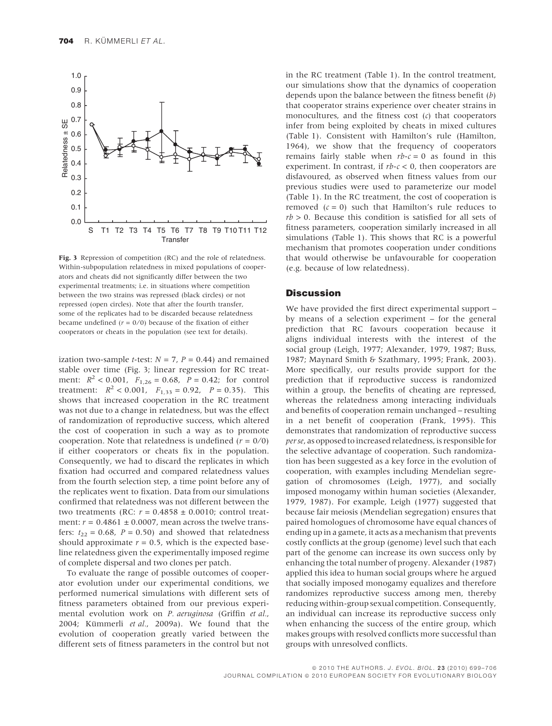

Fig. 3 Repression of competition (RC) and the role of relatedness. Within-subpopulation relatedness in mixed populations of cooperators and cheats did not significantly differ between the two experimental treatments; i.e. in situations where competition between the two strains was repressed (black circles) or not repressed (open circles). Note that after the fourth transfer, some of the replicates had to be discarded because relatedness became undefined  $(r = 0/0)$  because of the fixation of either cooperators or cheats in the population (see text for details).

ization two-sample *t*-test:  $N = 7$ ,  $P = 0.44$ ) and remained stable over time (Fig. 3; linear regression for RC treatment:  $R^2$  < 0.001,  $F_{1,26}$  = 0.68,  $P = 0.42$ ; for control treatment:  $R^2 < 0.001$ ,  $F_{1,33} = 0.92$ ,  $P = 0.35$ ). This shows that increased cooperation in the RC treatment was not due to a change in relatedness, but was the effect of randomization of reproductive success, which altered the cost of cooperation in such a way as to promote cooperation. Note that relatedness is undefined ( $r = 0/0$ ) if either cooperators or cheats fix in the population. Consequently, we had to discard the replicates in which fixation had occurred and compared relatedness values from the fourth selection step, a time point before any of the replicates went to fixation. Data from our simulations confirmed that relatedness was not different between the two treatments (RC:  $r = 0.4858 \pm 0.0010$ ; control treatment:  $r = 0.4861 \pm 0.0007$ , mean across the twelve transfers:  $t_{22} = 0.68$ ,  $P = 0.50$ ) and showed that relatedness should approximate  $r = 0.5$ , which is the expected baseline relatedness given the experimentally imposed regime of complete dispersal and two clones per patch.

To evaluate the range of possible outcomes of cooperator evolution under our experimental conditions, we performed numerical simulations with different sets of fitness parameters obtained from our previous experimental evolution work on P. aeruginosa (Griffin et al., 2004; Kümmerli et al., 2009a). We found that the evolution of cooperation greatly varied between the different sets of fitness parameters in the control but not in the RC treatment (Table 1). In the control treatment, our simulations show that the dynamics of cooperation depends upon the balance between the fitness benefit  $(b)$ that cooperator strains experience over cheater strains in monocultures, and the fitness cost  $(c)$  that cooperators infer from being exploited by cheats in mixed cultures (Table 1). Consistent with Hamilton's rule (Hamilton, 1964), we show that the frequency of cooperators remains fairly stable when  $rb-c = 0$  as found in this experiment. In contrast, if  $rb-c < 0$ , then cooperators are disfavoured, as observed when fitness values from our previous studies were used to parameterize our model (Table 1). In the RC treatment, the cost of cooperation is removed  $(c = 0)$  such that Hamilton's rule reduces to  $rb > 0$ . Because this condition is satisfied for all sets of fitness parameters, cooperation similarly increased in all simulations (Table 1). This shows that RC is a powerful mechanism that promotes cooperation under conditions that would otherwise be unfavourable for cooperation (e.g. because of low relatedness).

## **Discussion**

We have provided the first direct experimental support – by means of a selection experiment – for the general prediction that RC favours cooperation because it aligns individual interests with the interest of the social group (Leigh, 1977; Alexander, 1979, 1987; Buss, 1987; Maynard Smith & Szathmary, 1995; Frank, 2003). More specifically, our results provide support for the prediction that if reproductive success is randomized within a group, the benefits of cheating are repressed, whereas the relatedness among interacting individuals and benefits of cooperation remain unchanged – resulting in a net benefit of cooperation (Frank, 1995). This demonstrates that randomization of reproductive success per se, as opposed to increased relatedness, is responsible for the selective advantage of cooperation. Such randomization has been suggested as a key force in the evolution of cooperation, with examples including Mendelian segregation of chromosomes (Leigh, 1977), and socially imposed monogamy within human societies (Alexander, 1979, 1987). For example, Leigh (1977) suggested that because fair meiosis (Mendelian segregation) ensures that paired homologues of chromosome have equal chances of ending up in a gamete, it acts as a mechanism that prevents costly conflicts at the group (genome) level such that each part of the genome can increase its own success only by enhancing the total number of progeny. Alexander (1987) applied this idea to human social groups where he argued that socially imposed monogamy equalizes and therefore randomizes reproductive success among men, thereby reducing within-group sexual competition. Consequently, an individual can increase its reproductive success only when enhancing the success of the entire group, which makes groups with resolved conflicts more successful than groups with unresolved conflicts.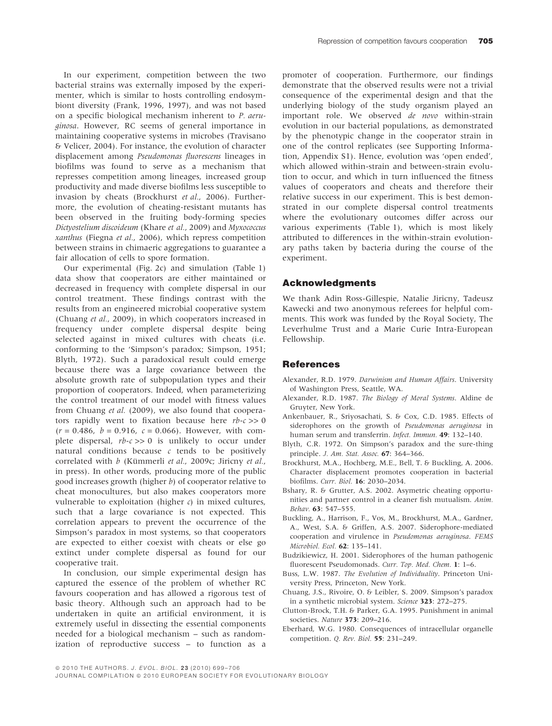In our experiment, competition between the two bacterial strains was externally imposed by the experimenter, which is similar to hosts controlling endosymbiont diversity (Frank, 1996, 1997), and was not based on a specific biological mechanism inherent to P. aeruginosa. However, RC seems of general importance in maintaining cooperative systems in microbes (Travisano & Velicer, 2004). For instance, the evolution of character displacement among Pseudomonas fluorescens lineages in biofilms was found to serve as a mechanism that represses competition among lineages, increased group productivity and made diverse biofilms less susceptible to invasion by cheats (Brockhurst et al., 2006). Furthermore, the evolution of cheating-resistant mutants has been observed in the fruiting body-forming species Dictyostelium discoideum (Khare et al., 2009) and Myxococcus xanthus (Fiegna et al., 2006), which repress competition between strains in chimaeric aggregations to guarantee a fair allocation of cells to spore formation.

Our experimental (Fig. 2c) and simulation (Table 1) data show that cooperators are either maintained or decreased in frequency with complete dispersal in our control treatment. These findings contrast with the results from an engineered microbial cooperative system (Chuang et al., 2009), in which cooperators increased in frequency under complete dispersal despite being selected against in mixed cultures with cheats (i.e. conforming to the 'Simpson's paradox; Simpson, 1951; Blyth, 1972). Such a paradoxical result could emerge because there was a large covariance between the absolute growth rate of subpopulation types and their proportion of cooperators. Indeed, when parameterizing the control treatment of our model with fitness values from Chuang et al. (2009), we also found that cooperators rapidly went to fixation because here  $rb-c \gg 0$  $(r = 0.486, b = 0.916, c = 0.066)$ . However, with complete dispersal,  $rb-c \gg 0$  is unlikely to occur under natural conditions because  $c$  tends to be positively correlated with b (Kümmerli et al., 2009c; Jiricny et al., in press). In other words, producing more of the public good increases growth (higher  $b$ ) of cooperator relative to cheat monocultures, but also makes cooperators more vulnerable to exploitation (higher  $c$ ) in mixed cultures, such that a large covariance is not expected. This correlation appears to prevent the occurrence of the Simpson's paradox in most systems, so that cooperators are expected to either coexist with cheats or else go extinct under complete dispersal as found for our cooperative trait.

In conclusion, our simple experimental design has captured the essence of the problem of whether RC favours cooperation and has allowed a rigorous test of basic theory. Although such an approach had to be undertaken in quite an artificial environment, it is extremely useful in dissecting the essential components needed for a biological mechanism – such as randomization of reproductive success – to function as a promoter of cooperation. Furthermore, our findings demonstrate that the observed results were not a trivial consequence of the experimental design and that the underlying biology of the study organism played an important role. We observed de novo within-strain evolution in our bacterial populations, as demonstrated by the phenotypic change in the cooperator strain in one of the control replicates (see Supporting Information, Appendix S1). Hence, evolution was 'open ended', which allowed within-strain and between-strain evolution to occur, and which in turn influenced the fitness values of cooperators and cheats and therefore their relative success in our experiment. This is best demonstrated in our complete dispersal control treatments where the evolutionary outcomes differ across our various experiments (Table 1), which is most likely attributed to differences in the within-strain evolutionary paths taken by bacteria during the course of the experiment.

#### Acknowledgments

We thank Adin Ross-Gillespie, Natalie Jiricny, Tadeusz Kawecki and two anonymous referees for helpful comments. This work was funded by the Royal Society, The Leverhulme Trust and a Marie Curie Intra-European Fellowship.

#### **References**

- Alexander, R.D. 1979. Darwinism and Human Affairs. University of Washington Press, Seattle, WA.
- Alexander, R.D. 1987. The Biology of Moral Systems. Aldine de Gruyter, New York.
- Ankenbauer, R., Sriyosachati, S. & Cox, C.D. 1985. Effects of siderophores on the growth of Pseudomonas aeruginosa in human serum and transferrin. Infect. Immun. 49: 132-140.
- Blyth, C.R. 1972. On Simpson's paradox and the sure-thing principle. J. Am. Stat. Assoc. 67: 364–366.
- Brockhurst, M.A., Hochberg, M.E., Bell, T. & Buckling, A. 2006. Character displacement promotes cooperation in bacterial biofilms. Curr. Biol. 16: 2030–2034.
- Bshary, R. & Grutter, A.S. 2002. Asymetric cheating opportunities and partner control in a cleaner fish mutualism. Anim. Behav. 63: 547–555.
- Buckling, A., Harrison, F., Vos, M., Brockhurst, M.A., Gardner, A., West, S.A. & Griffen, A.S. 2007. Siderophore-mediated cooperation and virulence in Pseudomonas aeruginosa. FEMS Microbiol. Ecol. 62: 135–141.
- Budzikiewicz, H. 2001. Siderophores of the human pathogenic fluorescent Pseudomonads. Curr. Top. Med. Chem. 1: 1-6.
- Buss, L.W. 1987. The Evolution of Individuality. Princeton University Press, Princeton, New York.
- Chuang, J.S., Rivoire, O. & Leibler, S. 2009. Simpson's paradox in a synthetic microbial system. Science 323: 272–275.
- Clutton-Brock, T.H. & Parker, G.A. 1995. Punishment in animal societies. Nature 373: 209–216.
- Eberhard, W.G. 1980. Consequences of intracellular organelle competition. Q. Rev. Biol. 55: 231–249.

JOURNAL COMPILATION © 2010 EUROPEAN SOCIETY FOR EVOLUTIONARY BIOLOGY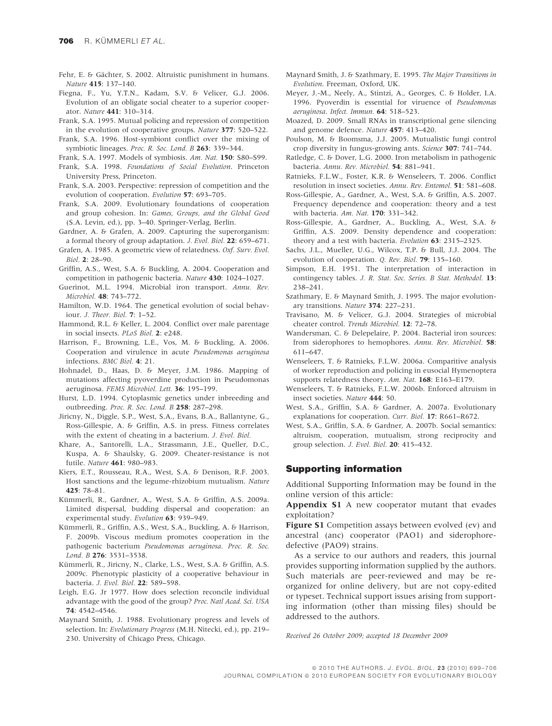- Fehr, E. & Gächter, S. 2002. Altruistic punishment in humans. Nature 415: 137–140.
- Fiegna, F., Yu, Y.T.N., Kadam, S.V. & Velicer, G.J. 2006. Evolution of an obligate social cheater to a superior cooperator. Nature 441: 310–314.
- Frank, S.A. 1995. Mutual policing and repression of competition in the evolution of cooperative groups. Nature 377: 520–522.
- Frank, S.A. 1996. Host-symbiont conflict over the mixing of symbiotic lineages. Proc. R. Soc. Lond. B 263: 339-344.
- Frank, S.A. 1997. Models of symbiosis. Am. Nat. 150: S80–S99.
- Frank, S.A. 1998. Foundations of Social Evolution. Princeton University Press, Princeton.
- Frank, S.A. 2003. Perspective: repression of competition and the evolution of cooperation. Evolution 57: 693–705.
- Frank, S.A. 2009. Evolutionary foundations of cooperation and group cohesion. In: Games, Groups, and the Global Good (S.A. Levin, ed.), pp. 3–40. Springer-Verlag, Berlin.
- Gardner, A. & Grafen, A. 2009. Capturing the superorganism: a formal theory of group adaptation. J. Evol. Biol. 22: 659–671.
- Grafen, A. 1985. A geometric view of relatedness. Oxf. Surv. Evol.  $Biol. 2: 28–90.$
- Griffin, A.S., West, S.A. & Buckling, A. 2004. Cooperation and competition in pathogenic bacteria. Nature 430: 1024–1027.
- Guerinot, M.L. 1994. Microbial iron transport. Annu. Rev. Microbiol. 48: 743–772.
- Hamilton, W.D. 1964. The genetical evolution of social behaviour. J. Theor. Biol. 7: 1–52.
- Hammond, R.L. & Keller, L. 2004. Conflict over male parentage in social insects. PLoS Biol. 2: e248.
- Harrison, F., Browning, L.E., Vos, M. & Buckling, A. 2006. Cooperation and virulence in acute Pseudomonas aeruginosa infections. BMC Biol. 4: 21.
- Hohnadel, D., Haas, D. & Meyer, J.M. 1986. Mapping of mutations affecting pyoverdine production in Pseudomonas aeruginosa. FEMS Microbiol. Lett. 36: 195–199.
- Hurst, L.D. 1994. Cytoplasmic genetics under inbreeding and outbreeding. Proc. R. Soc. Lond. B 258: 287–298.
- Jiricny, N., Diggle, S.P., West, S.A., Evans, B.A., Ballantyne, G., Ross-Gillespie, A. & Griffin, A.S. in press. Fitness correlates with the extent of cheating in a bacterium. J. Evol. Biol.
- Khare, A., Santorelli, L.A., Strassmann, J.E., Queller, D.C., Kuspa, A. & Shaulsky, G. 2009. Cheater-resistance is not futile. Nature 461: 980–983.
- Kiers, E.T., Rousseau, R.A., West, S.A. & Denison, R.F. 2003. Host sanctions and the legume-rhizobium mutualism. Nature 425: 78–81.
- Kümmerli, R., Gardner, A., West, S.A. & Griffin, A.S. 2009a. Limited dispersal, budding dispersal and cooperation: an experimental study. Evolution 63: 939–949.
- Kümmerli, R., Griffin, A.S., West, S.A., Buckling, A. & Harrison, F. 2009b. Viscous medium promotes cooperation in the pathogenic bacterium Pseudomonas aeruginosa. Proc. R. Soc. Lond. B 276: 3531–3538.
- Kümmerli, R., Jiricny, N., Clarke, L.S., West, S.A. & Griffin, A.S. 2009c. Phenotypic plasticity of a cooperative behaviour in bacteria. J. Evol. Biol. 22: 589–598.
- Leigh, E.G. Jr 1977. How does selection reconcile individual advantage with the good of the group? Proc. Natl Acad. Sci. USA 74: 4542–4546.
- Maynard Smith, J. 1988. Evolutionary progress and levels of selection. In: Evolutionary Progress (M.H. Nitecki, ed.), pp. 219-230. University of Chicago Press, Chicago.
- Maynard Smith, J. & Szathmary, E. 1995. The Major Transitions in Evolution. Freeman, Oxford, UK.
- Meyer, J.-M., Neely, A., Stintzi, A., Georges, C. & Holder, I.A. 1996. Pyoverdin is essential for viruence of Pseudomonas aeruginosa. Infect. Immun. 64: 518–523.
- Moazed, D. 2009. Small RNAs in transcriptional gene silencing and genome defence. Nature 457: 413–420.
- Poulson, M. & Boomsma, J.J. 2005. Mutualistic fungi control crop diversity in fungus-growing ants. Science 307: 741–744.
- Ratledge, C. & Dover, L.G. 2000. Iron metabolism in pathogenic bacteria. Annu. Rev. Microbiol. 54: 881–941.
- Ratnieks, F.L.W., Foster, K.R. & Wenseleers, T. 2006. Conflict resolution in insect societies. Annu. Rev. Entomol. 51: 581–608.
- Ross-Gillespie, A., Gardner, A., West, S.A. & Griffin, A.S. 2007. Frequency dependence and cooperation: theory and a test with bacteria. Am. Nat. 170: 331–342.
- Ross-Gillespie, A., Gardner, A., Buckling, A., West, S.A. & Griffin, A.S. 2009. Density dependence and cooperation: theory and a test with bacteria. Evolution 63: 2315-2325.
- Sachs, J.L., Mueller, U.G., Wilcox, T.P. & Bull, J.J. 2004. The evolution of cooperation. Q. Rev. Biol. 79: 135–160.
- Simpson, E.H. 1951. The interpretation of interaction in contingency tables. J. R. Stat. Soc. Series. B Stat. Methodol. 13: 238–241.
- Szathmary, E. & Maynard Smith, J. 1995. The major evolutionary transitions. Nature 374: 227–231.
- Travisano, M. & Velicer, G.J. 2004. Strategies of microbial cheater control. Trends Microbiol. 12: 72–78.
- Wandersman, C. & Delepelaire, P. 2004. Bacterial iron sources: from siderophores to hemophores. Annu. Rev. Microbiol. 58: 611–647.
- Wenseleers, T. & Ratnieks, F.L.W. 2006a. Comparitive analysis of worker reproduction and policing in eusocial Hymenoptera supports relatedness theory. Am. Nat. 168: E163-E179.
- Wenseleers, T. & Ratnieks, F.L.W. 2006b. Enforced altruism in insect societies. Nature 444: 50.
- West, S.A., Griffin, S.A. & Gardner, A. 2007a. Evolutionary explanations for cooperation. Curr. Biol. 17: R661–R672.
- West, S.A., Griffin, S.A. & Gardner, A. 2007b. Social semantics: altruism, cooperation, mutualism, strong reciprocity and group selection. J. Evol. Biol. 20: 415–432.

### Supporting information

Additional Supporting Information may be found in the online version of this article:

Appendix S1 A new cooperator mutant that evades exploitation?

Figure S1 Competition assays between evolved (ev) and ancestral (anc) cooperator (PAO1) and siderophoredefective (PAO9) strains.

As a service to our authors and readers, this journal provides supporting information supplied by the authors. Such materials are peer-reviewed and may be reorganized for online delivery, but are not copy-edited or typeset. Technical support issues arising from supporting information (other than missing files) should be addressed to the authors.

Received 26 October 2009; accepted 18 December 2009

© 2010 THE AUTHORS. J. EVOL. BIOL. 23 (2010) 699-706 JOURNAL COMPILATION © 2010 EUROPEAN SOCIETY FOR EVOLUTIONARY BIOLOGY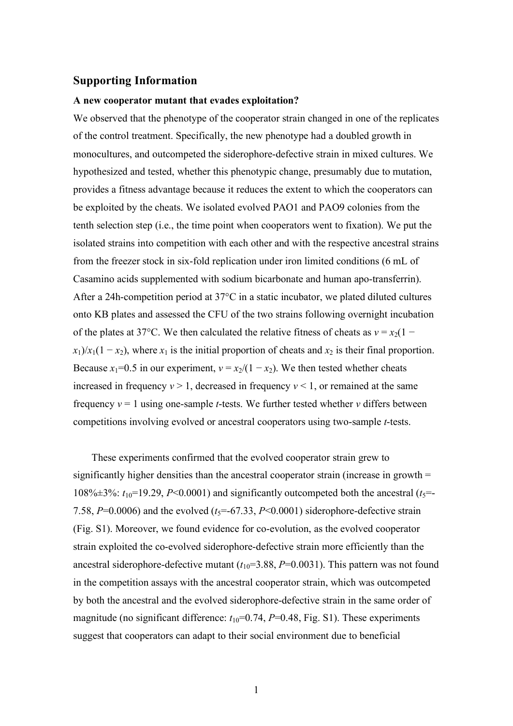# **Supporting Information**

## **A new cooperator mutant that evades exploitation?**

We observed that the phenotype of the cooperator strain changed in one of the replicates of the control treatment. Specifically, the new phenotype had a doubled growth in monocultures, and outcompeted the siderophore-defective strain in mixed cultures. We hypothesized and tested, whether this phenotypic change, presumably due to mutation, provides a fitness advantage because it reduces the extent to which the cooperators can be exploited by the cheats. We isolated evolved PAO1 and PAO9 colonies from the tenth selection step (i.e., the time point when cooperators went to fixation). We put the isolated strains into competition with each other and with the respective ancestral strains from the freezer stock in six-fold replication under iron limited conditions (6 mL of Casamino acids supplemented with sodium bicarbonate and human apo-transferrin). After a 24h-competition period at 37°C in a static incubator, we plated diluted cultures onto KB plates and assessed the CFU of the two strains following overnight incubation of the plates at 37°C. We then calculated the relative fitness of cheats as  $v = x_2(1$  $x_1$ / $x_1$ (1 − *x*<sub>2</sub>), where  $x_1$  is the initial proportion of cheats and  $x_2$  is their final proportion. Because *x*<sub>1</sub>=0.5 in our experiment,  $v = x_2/(1 - x_2)$ . We then tested whether cheats increased in frequency  $v > 1$ , decreased in frequency  $v < 1$ , or remained at the same frequency *ν* = 1 using one-sample *t*-tests. We further tested whether *v* differs between competitions involving evolved or ancestral cooperators using two-sample *t*-tests.

These experiments confirmed that the evolved cooperator strain grew to significantly higher densities than the ancestral cooperator strain (increase in growth = 108% $\pm$ 3%:  $t_{10}$ =19.29, *P*<0.0001) and significantly outcompeted both the ancestral ( $t_5$ = 7.58,  $P=0.0006$ ) and the evolved ( $t<sub>5</sub>=-67.33$ ,  $P<0.0001$ ) siderophore-defective strain (Fig. S1). Moreover, we found evidence for co-evolution, as the evolved cooperator strain exploited the co-evolved siderophore-defective strain more efficiently than the ancestral siderophore-defective mutant  $(t_{10}=3.88, P=0.0031)$ . This pattern was not found in the competition assays with the ancestral cooperator strain, which was outcompeted by both the ancestral and the evolved siderophore-defective strain in the same order of magnitude (no significant difference:  $t_{10}$ =0.74,  $P$ =0.48, Fig. S1). These experiments suggest that cooperators can adapt to their social environment due to beneficial